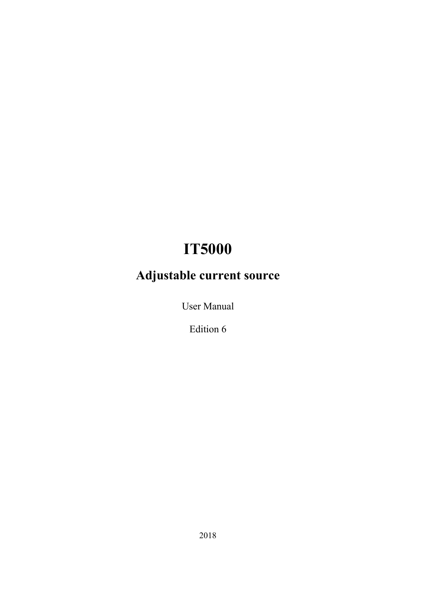# IT5000

# Adjustable current source

User Manual

Edition 6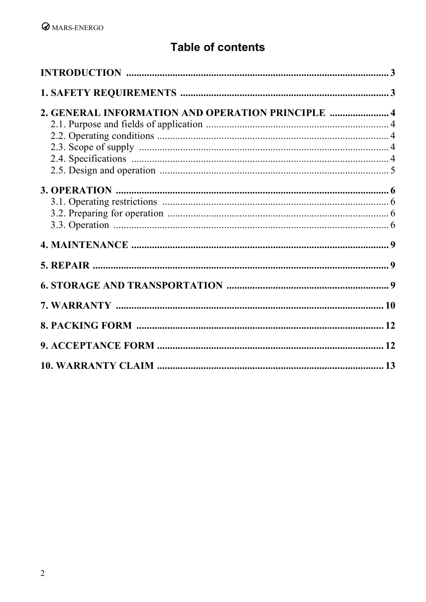# **Table of contents**

| 2. GENERAL INFORMATION AND OPERATION PRINCIPLE  4 |  |
|---------------------------------------------------|--|
|                                                   |  |
|                                                   |  |
|                                                   |  |
|                                                   |  |
|                                                   |  |
|                                                   |  |
|                                                   |  |
|                                                   |  |
|                                                   |  |
|                                                   |  |
|                                                   |  |
|                                                   |  |
|                                                   |  |
|                                                   |  |
|                                                   |  |
|                                                   |  |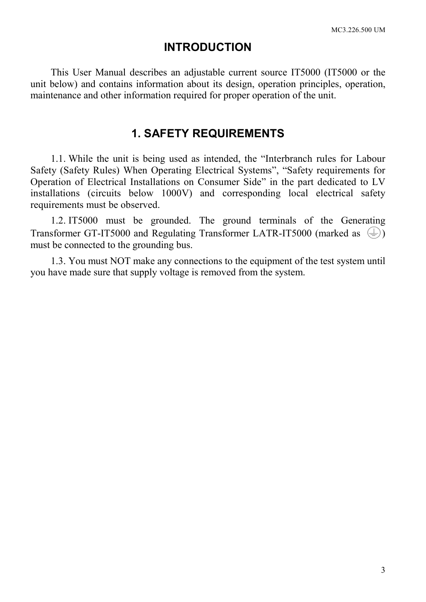#### INTRODUCTION

<span id="page-2-1"></span><span id="page-2-0"></span>This User Manual describes an adjustable current source IT5000 (IT5000 or the unit below) and contains information about its design, operation principles, operation, maintenance and other information required for proper operation of the unit.

### 1. SAFETY REQUIREMENTS

1.1. While the unit is being used as intended, the "Interbranch rules for Labour Safety (Safety Rules) When Operating Electrical Systems", "Safety requirements for Operation of Electrical Installations on Consumer Side" in the part dedicated to LV installations (circuits below 1000V) and corresponding local electrical safety requirements must be observed.

1.2. IT5000 must be grounded. The ground terminals of the Generating Transformer GT-IT5000 and Regulating Transformer LATR-IT5000 (marked as  $\leftarrow$ ) must be connected to the grounding bus.

1.3. You must NOT make any connections to the equipment of the test system until you have made sure that supply voltage is removed from the system.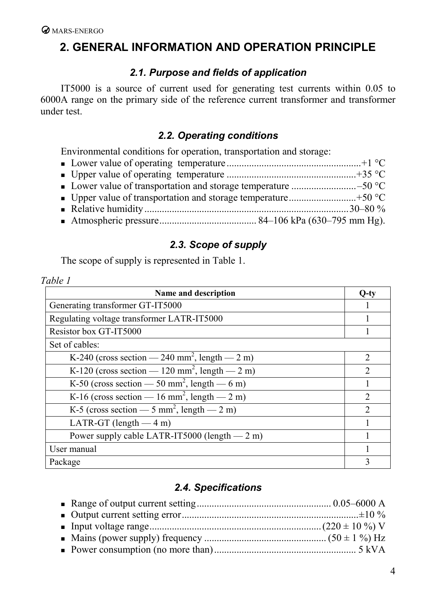# 2. GENERAL INFORMATION AND OPERATION PRINCIPLE

#### *2.1. Purpose and fields of application*

<span id="page-3-2"></span><span id="page-3-1"></span><span id="page-3-0"></span>IT5000 is a source of current used for generating test currents within 0.05 to 6000A range on the primary side of the reference current transformer and transformer under test.

#### *2.2. Operating conditions*

Environmental conditions for operation, transportation and storage:

- Lower value of operating temperature ...................................................... +1 °C Upper value of operating temperature .................................................... +35 °C
- Lower value of transportation and storage temperature .......................... –50 °C
- Upper value of transportation and storage temperature ........................... +50 °C
- Relative humidity .................................................................................. 30–80 %
- <span id="page-3-3"></span>Atmospheric pressure ....................................... 84–106 kPa (630–795 mm Hg).

### *2.3. Scope of supply*

The scope of supply is represented in Table 1.

| r. |  |
|----|--|
|----|--|

| Name and description                                         | $Q$ -ty                     |
|--------------------------------------------------------------|-----------------------------|
| Generating transformer GT-IT5000                             |                             |
| Regulating voltage transformer LATR-IT5000                   |                             |
| Resistor box GT-IT5000                                       |                             |
| Set of cables:                                               |                             |
| K-240 (cross section $-240$ mm <sup>2</sup> , length $-2$ m) | $\mathfrak{D}$              |
| K-120 (cross section $-120$ mm <sup>2</sup> , length $-2$ m) | $\overline{2}$              |
| $K-50$ (cross section — 50 mm <sup>2</sup> , length — 6 m)   |                             |
| K-16 (cross section $-16$ mm <sup>2</sup> , length $-2$ m)   | $\mathcal{D}_{\mathcal{L}}$ |
| K-5 (cross section $-5$ mm <sup>2</sup> , length $-2$ m)     | $\mathfrak{D}$              |
| LATR-GT (length $-4$ m)                                      |                             |
| Power supply cable LATR-IT5000 (length $-2$ m)               |                             |
| User manual                                                  |                             |
| Package                                                      | 3                           |

### *2.4. Specifications*

<span id="page-3-4"></span>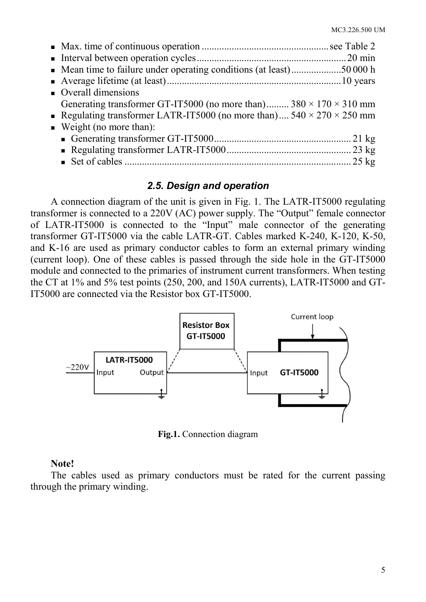| • Overall dimensions                                                             |  |
|----------------------------------------------------------------------------------|--|
| Generating transformer GT-IT5000 (no more than) $380 \times 170 \times 310$ mm   |  |
| Regulating transformer LATR-IT5000 (no more than) $540 \times 270 \times 250$ mm |  |
| $\blacksquare$ Weight (no more than):                                            |  |
|                                                                                  |  |
|                                                                                  |  |
|                                                                                  |  |

#### *2.5. Design and operation*

<span id="page-4-0"></span>A connection diagram of the unit is given in Fig. 1. The LATR-IT5000 regulating transformer is connected to a 220V (AC) power supply. The "Output" female connector of LATR-IT5000 is connected to the "Input" male connector of the generating transformer GT-IT5000 via the cable LATR-GT. Cables marked K-240, K-120, K-50, and K-16 are used as primary conductor cables to form an external primary winding (current loop). One of these cables is passed through the side hole in the GT-IT5000 module and connected to the primaries of instrument current transformers. When testing the CT at 1% and 5% test points (250, 200, and 150A currents), LATR-IT5000 and GT-IT5000 are connected via the Resistor box GT-IT5000.



Fig.1. Connection diagram

#### Note!

The cables used as primary conductors must be rated for the current passing through the primary winding.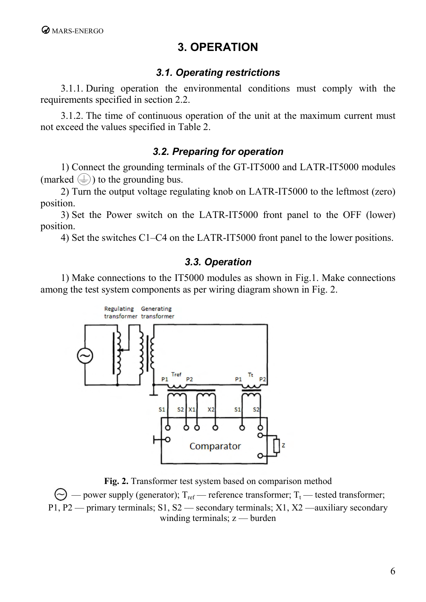## 3. OPERATION

#### *3.1. Operating restrictions*

<span id="page-5-1"></span><span id="page-5-0"></span>3.1.1. During operation the environmental conditions must comply with the requirements specified in section 2.2.

<span id="page-5-2"></span>3.1.2. The time of continuous operation of the unit at the maximum current must not exceed the values specified in Table 2.

#### *3.2. Preparing for operation*

1) Connect the grounding terminals of the GT-IT5000 and LATR-IT5000 modules (marked  $\left(\frac{\cdot}{\cdot}\right)$ ) to the grounding bus.

2) Turn the output voltage regulating knob on LATR-IT5000 to the leftmost (zero) position.

3) Set the Power switch on the LATR-IT5000 front panel to the OFF (lower) position.

4) Set the switches C1–C4 on the LATR-IT5000 front panel to the lower positions.

#### *3.3. Operation*

<span id="page-5-3"></span>1) Make connections to the IT5000 modules as shown in Fig.1. Make connections among the test system components as per wiring diagram shown in Fig. 2.



Fig. 2. Transformer test system based on comparison method

 $\Theta$  — power supply (generator); T<sub>ref</sub> — reference transformer; T<sub>t</sub> — tested transformer; P1, P2 — primary terminals; S1, S2 — secondary terminals; X1, X2 —auxiliary secondary winding terminals;  $z$  — burden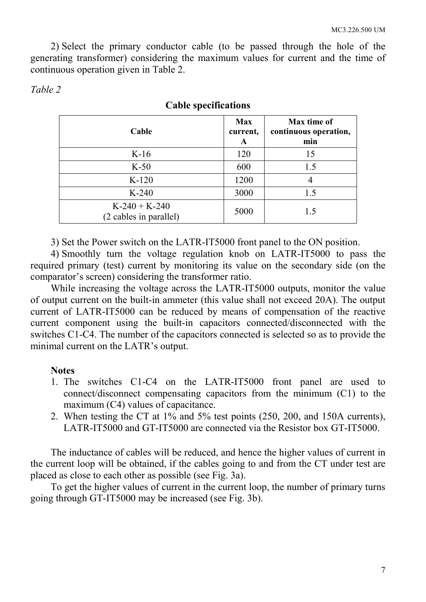2) Select the primary conductor cable (to be passed through the hole of the generating transformer) considering the maximum values for current and the time of continuous operation given in Table 2.

#### *Table 2*

| Cable                                   | <b>Max</b><br>current,<br>A | Max time of<br>continuous operation,<br>min |
|-----------------------------------------|-----------------------------|---------------------------------------------|
| $K-16$                                  | 120                         | 15                                          |
| $K-50$                                  | 600                         | 1.5                                         |
| $K-120$                                 | 1200                        |                                             |
| $K-240$                                 | 3000                        | 1.5                                         |
| $K-240+K-240$<br>(2 cables in parallel) | 5000                        | 1.5                                         |

#### Cable specifications

3) Set the Power switch on the LATR-IT5000 front panel to the ON position.

4) Smoothly turn the voltage regulation knob on LATR-IT5000 to pass the required primary (test) current by monitoring its value on the secondary side (on the comparator's screen) considering the transformer ratio.

While increasing the voltage across the LATR-IT5000 outputs, monitor the value of output current on the built-in ammeter (this value shall not exceed 20A). The output current of LATR-IT5000 can be reduced by means of compensation of the reactive current component using the built-in capacitors connected/disconnected with the switches C1-C4. The number of the capacitors connected is selected so as to provide the minimal current on the LATR's output.

#### **Notes**

- 1. The switches C1-C4 on the LATR-IT5000 front panel are used to connect/disconnect compensating capacitors from the minimum (C1) to the maximum (C4) values of capacitance.
- 2. When testing the CT at 1% and 5% test points (250, 200, and 150A currents), LATR-IT5000 and GT-IT5000 are connected via the Resistor box GT-IT5000.

The inductance of cables will be reduced, and hence the higher values of current in the current loop will be obtained, if the cables going to and from the CT under test are placed as close to each other as possible (see Fig. 3a).

To get the higher values of current in the current loop, the number of primary turns going through GT-IT5000 may be increased (see Fig. 3b).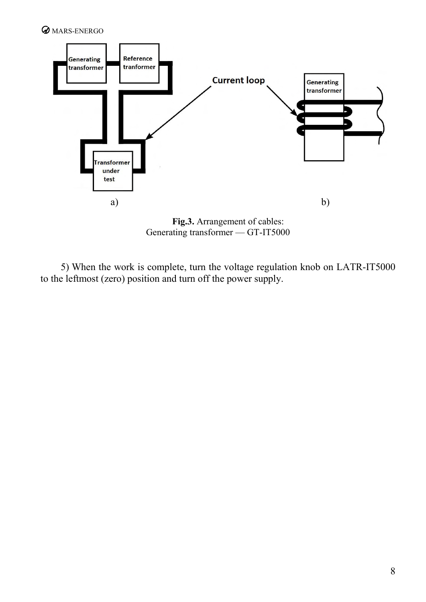

5) When the work is complete, turn the voltage regulation knob on LATR-IT5000 to the leftmost (zero) position and turn off the power supply.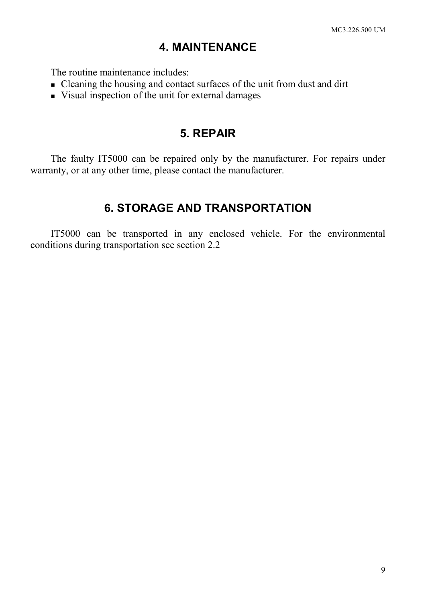### 4. MAINTENANCE

<span id="page-8-0"></span>The routine maintenance includes:

- Cleaning the housing and contact surfaces of the unit from dust and dirt
- <span id="page-8-1"></span>Visual inspection of the unit for external damages

### 5. REPAIR

<span id="page-8-2"></span>The faulty IT5000 can be repaired only by the manufacturer. For repairs under warranty, or at any other time, please contact the manufacturer.

## 6. STORAGE AND TRANSPORTATION

IT5000 can be transported in any enclosed vehicle. For the environmental conditions during transportation see section 2.2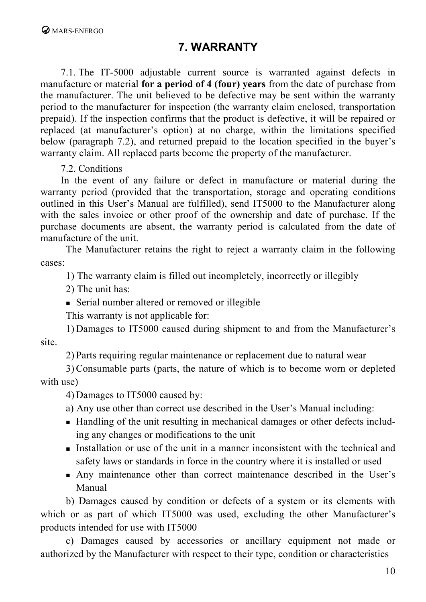### 7. WARRANTY

<span id="page-9-0"></span>7.1. The IT-5000 adjustable current source is warranted against defects in manufacture or material for a period of 4 (four) years from the date of purchase from the manufacturer. The unit believed to be defective may be sent within the warranty period to the manufacturer for inspection (the warranty claim enclosed, transportation prepaid). If the inspection confirms that the product is defective, it will be repaired or replaced (at manufacturer's option) at no charge, within the limitations specified below (paragraph 7.2), and returned prepaid to the location specified in the buyer's warranty claim. All replaced parts become the property of the manufacturer.

7.2. Conditions

In the event of any failure or defect in manufacture or material during the warranty period (provided that the transportation, storage and operating conditions outlined in this User's Manual are fulfilled), send IT5000 to the Manufacturer along with the sales invoice or other proof of the ownership and date of purchase. If the purchase documents are absent, the warranty period is calculated from the date of manufacture of the unit.

The Manufacturer retains the right to reject a warranty claim in the following cases:

1) The warranty claim is filled out incompletely, incorrectly or illegibly

2) The unit has:

Serial number altered or removed or illegible

This warranty is not applicable for:

1) Damages to IT5000 caused during shipment to and from the Manufacturer's site.

2) Parts requiring regular maintenance or replacement due to natural wear

3) Consumable parts (parts, the nature of which is to become worn or depleted with use)

4) Damages to IT5000 caused by:

a) Any use other than correct use described in the User's Manual including:

- Handling of the unit resulting in mechanical damages or other defects including any changes or modifications to the unit
- Installation or use of the unit in a manner inconsistent with the technical and safety laws or standards in force in the country where it is installed or used
- Any maintenance other than correct maintenance described in the User's Manual

b) Damages caused by condition or defects of a system or its elements with which or as part of which IT5000 was used, excluding the other Manufacturer's products intended for use with IT5000

c) Damages caused by accessories or ancillary equipment not made or authorized by the Manufacturer with respect to their type, condition or characteristics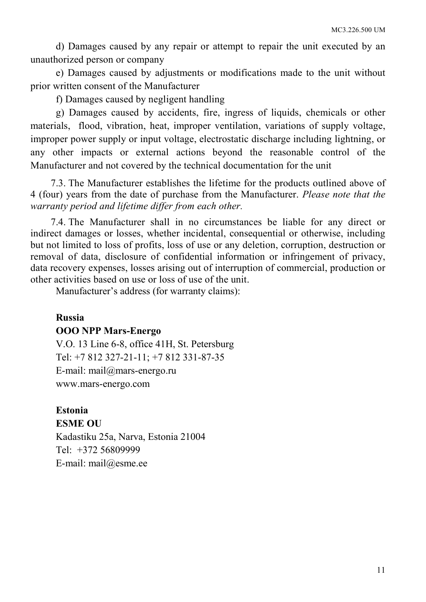d) Damages caused by any repair or attempt to repair the unit executed by an unauthorized person or company

e) Damages caused by adjustments or modifications made to the unit without prior written consent of the Manufacturer

f) Damages caused by negligent handling

g) Damages caused by accidents, fire, ingress of liquids, chemicals or other materials, flood, vibration, heat, improper ventilation, variations of supply voltage, improper power supply or input voltage, electrostatic discharge including lightning, or any other impacts or external actions beyond the reasonable control of the Manufacturer and not covered by the technical documentation for the unit

7.3. The Manufacturer establishes the lifetime for the products outlined above of 4 (four) years from the date of purchase from the Manufacturer. *Please note that the warranty period and lifetime differ from each other.* 

7.4. The Manufacturer shall in no circumstances be liable for any direct or indirect damages or losses, whether incidental, consequential or otherwise, including but not limited to loss of profits, loss of use or any deletion, corruption, destruction or removal of data, disclosure of confidential information or infringement of privacy, data recovery expenses, losses arising out of interruption of commercial, production or other activities based on use or loss of use of the unit.

Manufacturer's address (for warranty claims):

#### Russia OOO NPP Mars-Energo

V.O. 13 Line 6-8, office 41H, St. Petersburg Tel: +7 812 327-21-11; +7 812 331-87-35 E-mail: mail@mars-energo.ru www.mars-energo.com

#### Estonia

ESME OU Kadastiku 25a, Narva, Estonia 21004 Tel: +372 56809999 E-mail: mail@esme.ee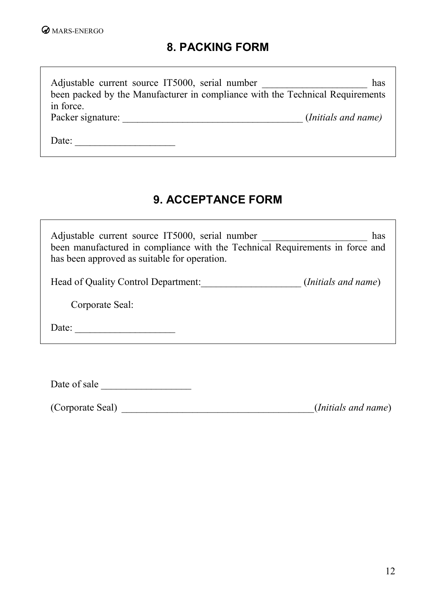## 8. PACKING FORM

<span id="page-11-0"></span>

| Adjustable current source IT5000, serial number                               | has |
|-------------------------------------------------------------------------------|-----|
| been packed by the Manufacturer in compliance with the Technical Requirements |     |
| in force.                                                                     |     |
| Packer signature:<br>(Initials and name)                                      |     |
|                                                                               |     |
| Date:                                                                         |     |

## 9. ACCEPTANCE FORM

<span id="page-11-1"></span>

| Adjustable current source IT5000, serial number<br>been manufactured in compliance with the Technical Requirements in force and<br>has been approved as suitable for operation. | has |
|---------------------------------------------------------------------------------------------------------------------------------------------------------------------------------|-----|
| Head of Quality Control Department:<br>(Initials and name)                                                                                                                      |     |
| Corporate Seal:                                                                                                                                                                 |     |
| Date:                                                                                                                                                                           |     |
|                                                                                                                                                                                 |     |
| Date of sale                                                                                                                                                                    |     |

(Corporate Seal) \_\_\_\_\_\_\_\_\_\_\_\_\_\_\_\_\_\_\_\_\_\_\_\_\_\_\_\_\_\_\_\_\_\_\_\_\_\_ (*Initials and name*)